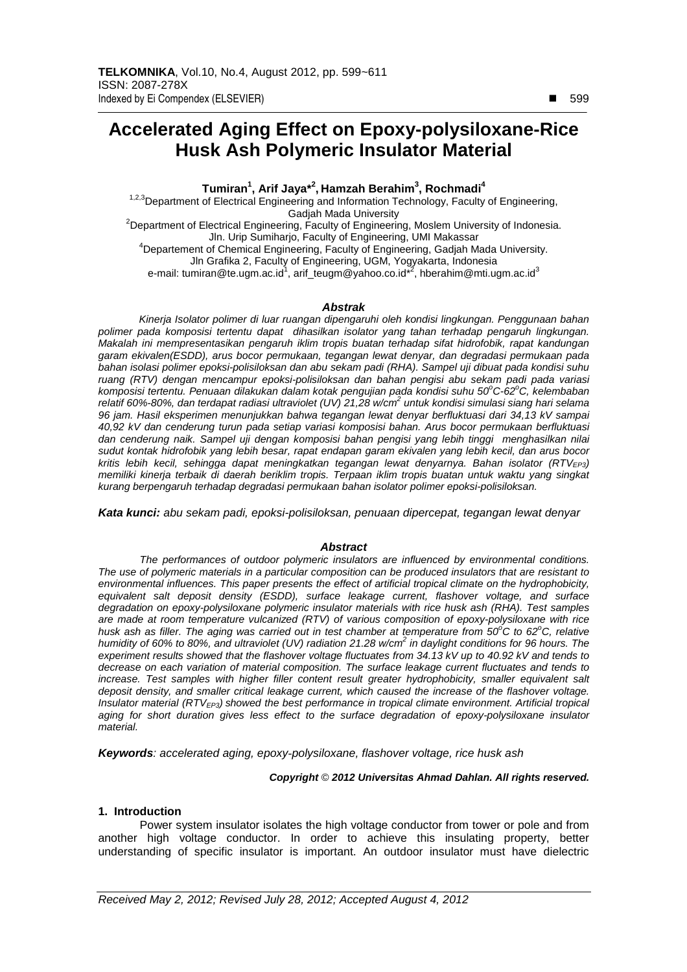# **Accelerated Aging Effect on Epoxy-polysiloxane-Rice Husk Ash Polymeric Insulator Material**

**Tumiran<sup>1</sup> , Arif Jaya\*<sup>2</sup> , Hamzah Berahim<sup>3</sup> , Rochmadi<sup>4</sup>**

<sup>1,2,3</sup>Department of Electrical Engineering and Information Technology, Faculty of Engineering, Gadjah Mada University

<sup>2</sup>Department of Electrical Engineering, Faculty of Engineering, Moslem University of Indonesia. Jln. Urip Sumiharjo, Faculty of Engineering, UMI Makassar <sup>4</sup>Departement of Chemical Engineering, Faculty of Engineering, Gadjah Mada University. Jln Grafika 2, Faculty of Engineering, UGM, Yogyakarta, Indonesia

e-mail: tumiran@te.ugm.ac.id<sup>1</sup>, arif\_teugm@yahoo.co.id<sup>\*2</sup>, hberahim@mti.ugm.ac.id<sup>3</sup>

## **Abstrak**

Kinerja Isolator polimer di luar ruangan dipengaruhi oleh kondisi lingkungan. Penggunaan bahan polimer pada komposisi tertentu dapat dihasilkan isolator yang tahan terhadap pengaruh lingkungan. Makalah ini mempresentasikan pengaruh iklim tropis buatan terhadap sifat hidrofobik, rapat kandungan garam ekivalen(ESDD), arus bocor permukaan, tegangan lewat denyar, dan degradasi permukaan pada bahan isolasi polimer epoksi-polisiloksan dan abu sekam padi (RHA). Sampel uji dibuat pada kondisi suhu ruang (RTV) dengan mencampur epoksi-polisiloksan dan bahan pengisi abu sekam padi pada variasi komposisi tertentu. Penuaan dilakukan dalam kotak pengujian pada kondisi suhu 50°C-62°C, kelembaban relatif 60%-80%, dan terdapat radiasi ultraviolet (UV) 21,28 w/cm<sup>2</sup> untuk kondisi simulasi siang hari selama 96 jam. Hasil eksperimen menunjukkan bahwa tegangan lewat denyar berfluktuasi dari 34,13 kV sampai 40,92 kV dan cenderung turun pada setiap variasi komposisi bahan. Arus bocor permukaan berfluktuasi dan cenderung naik. Sampel uji dengan komposisi bahan pengisi yang lebih tinggi menghasilkan nilai sudut kontak hidrofobik yang lebih besar, rapat endapan garam ekivalen yang lebih kecil, dan arus bocor kritis lebih kecil, sehingga dapat meningkatkan tegangan lewat denyarnya. Bahan isolator (RTV<sub>FP3</sub>) memiliki kinerja terbaik di daerah beriklim tropis. Terpaan iklim tropis buatan untuk waktu yang singkat kurang berpengaruh terhadap degradasi permukaan bahan isolator polimer epoksi-polisiloksan.

**Kata kunci:** abu sekam padi, epoksi-polisiloksan, penuaan dipercepat, tegangan lewat denyar

#### **Abstract**

The performances of outdoor polymeric insulators are influenced by environmental conditions. The use of polymeric materials in a particular composition can be produced insulators that are resistant to environmental influences. This paper presents the effect of artificial tropical climate on the hydrophobicity, equivalent salt deposit density (ESDD), surface leakage current, flashover voltage, and surface degradation on epoxy-polysiloxane polymeric insulator materials with rice husk ash (RHA). Test samples are made at room temperature vulcanized (RTV) of various composition of epoxy-polysiloxane with rice husk ash as filler. The aging was carried out in test chamber at temperature from 50°C to 62°C, relative humidity of 60% to 80%, and ultraviolet (UV) radiation 21.28 w/cm<sup>2</sup> in daylight conditions for 96 hours. The experiment results showed that the flashover voltage fluctuates from 34.13 kV up to 40.92 kV and tends to decrease on each variation of material composition. The surface leakage current fluctuates and tends to increase. Test samples with higher filler content result greater hydrophobicity, smaller equivalent salt deposit density, and smaller critical leakage current, which caused the increase of the flashover voltage. Insulator material  $(RTV_{FP3})$  showed the best performance in tropical climate environment. Artificial tropical aging for short duration gives less effect to the surface degradation of epoxy-polysiloxane insulator material.

**Keywords**: accelerated aging, epoxy*-*polysiloxane, flashover voltage, rice husk ash

**Copyright** © **2012 Universitas Ahmad Dahlan. All rights reserved.**

## **1. Introduction**

Power system insulator isolates the high voltage conductor from tower or pole and from another high voltage conductor. In order to achieve this insulating property, better understanding of specific insulator is important. An outdoor insulator must have dielectric

-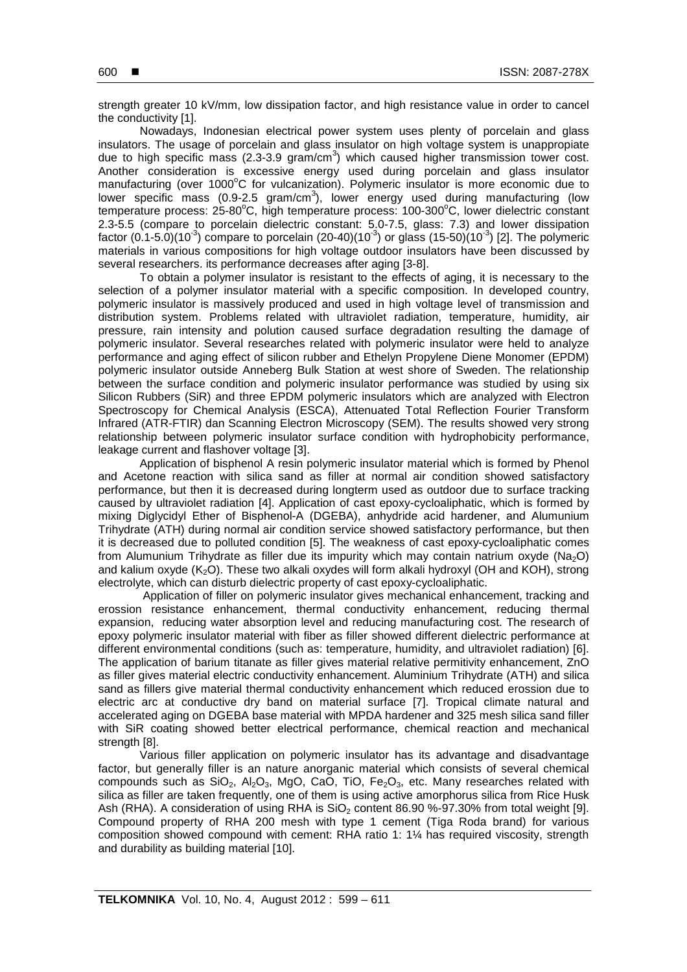strength greater 10 kV/mm, low dissipation factor, and high resistance value in order to cancel the conductivity [1].

Nowadays, Indonesian electrical power system uses plenty of porcelain and glass insulators. The usage of porcelain and glass insulator on high voltage system is unappropiate due to high specific mass (2.3-3.9 gram/cm<sup>3</sup>) which caused higher transmission tower cost. Another consideration is excessive energy used during porcelain and glass insulator manufacturing (over 1000 $\degree$ C for vulcanization). Polymeric insulator is more economic due to lower specific mass (0.9-2.5 gram/cm<sup>3</sup>), lower energy used during manufacturing (low temperature process:  $25-80^{\circ}$ C, high temperature process:  $100-300^{\circ}$ C, lower dielectric constant 2.3-5.5 (compare to porcelain dielectric constant: 5.0-7.5, glass: 7.3) and lower dissipation factor (0.1-5.0)(10<sup>-3</sup>) compare to porcelain (20-40)(10<sup>-3</sup>) or glass (15-50)(10<sup>-3</sup>) [2]. The polymeric materials in various compositions for high voltage outdoor insulators have been discussed by several researchers. its performance decreases after aging [3-8].

To obtain a polymer insulator is resistant to the effects of aging, it is necessary to the selection of a polymer insulator material with a specific composition. In developed country, polymeric insulator is massively produced and used in high voltage level of transmission and distribution system. Problems related with ultraviolet radiation, temperature, humidity, air pressure, rain intensity and polution caused surface degradation resulting the damage of polymeric insulator. Several researches related with polymeric insulator were held to analyze performance and aging effect of silicon rubber and Ethelyn Propylene Diene Monomer (EPDM) polymeric insulator outside Anneberg Bulk Station at west shore of Sweden. The relationship between the surface condition and polymeric insulator performance was studied by using six Silicon Rubbers (SiR) and three EPDM polymeric insulators which are analyzed with Electron Spectroscopy for Chemical Analysis (ESCA), Attenuated Total Reflection Fourier Transform Infrared (ATR-FTIR) dan Scanning Electron Microscopy (SEM). The results showed very strong relationship between polymeric insulator surface condition with hydrophobicity performance, leakage current and flashover voltage [3].

Application of bisphenol A resin polymeric insulator material which is formed by Phenol and Acetone reaction with silica sand as filler at normal air condition showed satisfactory performance, but then it is decreased during longterm used as outdoor due to surface tracking caused by ultraviolet radiation [4]. Application of cast epoxy-cycloaliphatic, which is formed by mixing Diglycidyl Ether of Bisphenol-A (DGEBA), anhydride acid hardener, and Alumunium Trihydrate (ATH) during normal air condition service showed satisfactory performance, but then it is decreased due to polluted condition [5]. The weakness of cast epoxy-cycloaliphatic comes from Alumunium Trihydrate as filler due its impurity which may contain natrium oxyde ( $Na<sub>2</sub>O$ ) and kalium oxyde  $(K_2O)$ . These two alkali oxydes will form alkali hydroxyl (OH and KOH), strong electrolyte, which can disturb dielectric property of cast epoxy-cycloaliphatic.

 Application of filler on polymeric insulator gives mechanical enhancement, tracking and erossion resistance enhancement, thermal conductivity enhancement, reducing thermal expansion, reducing water absorption level and reducing manufacturing cost. The research of epoxy polymeric insulator material with fiber as filler showed different dielectric performance at different environmental conditions (such as: temperature, humidity, and ultraviolet radiation) [6]. The application of barium titanate as filler gives material relative permitivity enhancement, ZnO as filler gives material electric conductivity enhancement. Aluminium Trihydrate (ATH) and silica sand as fillers give material thermal conductivity enhancement which reduced erossion due to electric arc at conductive dry band on material surface [7]. Tropical climate natural and accelerated aging on DGEBA base material with MPDA hardener and 325 mesh silica sand filler with SiR coating showed better electrical performance, chemical reaction and mechanical strength [8].

Various filler application on polymeric insulator has its advantage and disadvantage factor, but generally filler is an nature anorganic material which consists of several chemical compounds such as  $SiO_2$ ,  $Al_2O_3$ , MgO, CaO, TiO, Fe<sub>2</sub>O<sub>3</sub>, etc. Many researches related with silica as filler are taken frequently, one of them is using active amorphorus silica from Rice Husk Ash (RHA). A consideration of using RHA is  $SiO<sub>2</sub>$  content 86.90 %-97.30% from total weight [9]. Compound property of RHA 200 mesh with type 1 cement (Tiga Roda brand) for various composition showed compound with cement: RHA ratio 1: 1¼ has required viscosity, strength and durability as building material [10].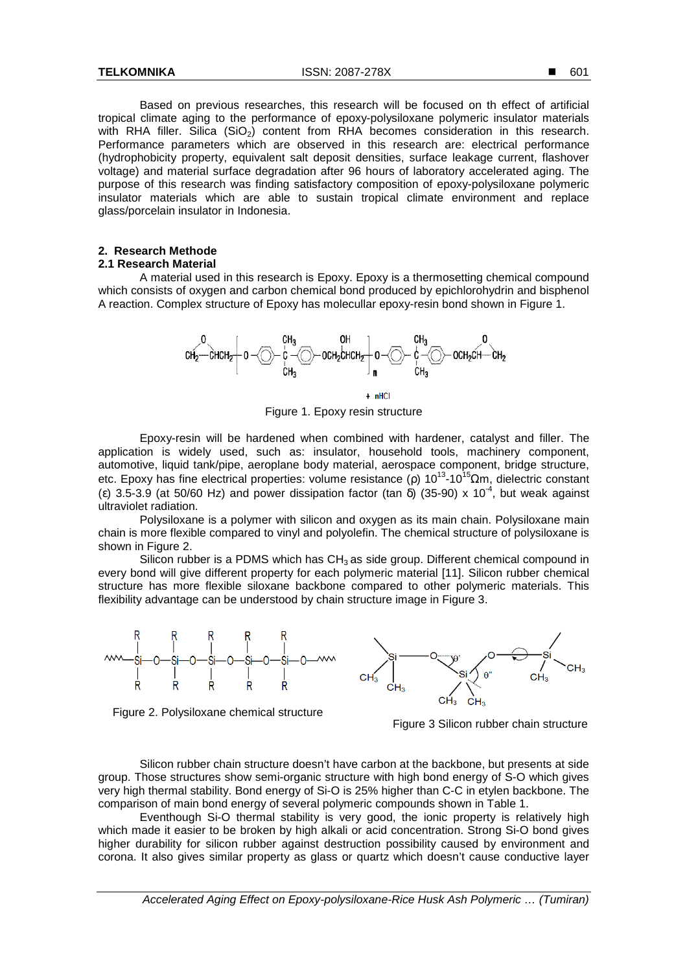Based on previous researches, this research will be focused on th effect of artificial tropical climate aging to the performance of epoxy-polysiloxane polymeric insulator materials with RHA filler. Silica  $(SiO<sub>2</sub>)$  content from RHA becomes consideration in this research. Performance parameters which are observed in this research are: electrical performance (hydrophobicity property, equivalent salt deposit densities, surface leakage current, flashover voltage) and material surface degradation after 96 hours of laboratory accelerated aging. The purpose of this research was finding satisfactory composition of epoxy-polysiloxane polymeric insulator materials which are able to sustain tropical climate environment and replace glass/porcelain insulator in Indonesia.

# **2. Research Methode 2.1 Research Material**

A material used in this research is Epoxy. Epoxy is a thermosetting chemical compound which consists of oxygen and carbon chemical bond produced by epichlorohydrin and bisphenol A reaction. Complex structure of Epoxy has molecullar epoxy-resin bond shown in Figure 1.



Figure 1. Epoxy resin structure

Epoxy-resin will be hardened when combined with hardener, catalyst and filler. The application is widely used, such as: insulator, household tools, machinery component, automotive, liquid tank/pipe, aeroplane body material, aerospace component, bridge structure, etc. Epoxy has fine electrical properties: volume resistance (ρ)  $10^{13}$ -10<sup>15</sup>Ωm, dielectric constant (ε) 3.5-3.9 (at 50/60 Hz) and power dissipation factor (tan  $\delta$ ) (35-90) x 10<sup>-4</sup>, but weak against ultraviolet radiation.

Polysiloxane is a polymer with silicon and oxygen as its main chain. Polysiloxane main chain is more flexible compared to vinyl and polyolefin. The chemical structure of polysiloxane is shown in Figure 2.

Silicon rubber is a PDMS which has  $CH<sub>3</sub>$  as side group. Different chemical compound in every bond will give different property for each polymeric material [11]. Silicon rubber chemical structure has more flexible siloxane backbone compared to other polymeric materials. This flexibility advantage can be understood by chain structure image in Figure 3.



Figure 2. Polysiloxane chemical structure

Figure 3 Silicon rubber chain structure

Silicon rubber chain structure doesn't have carbon at the backbone, but presents at side group. Those structures show semi-organic structure with high bond energy of S-O which gives very high thermal stability. Bond energy of Si-O is 25% higher than C-C in etylen backbone. The comparison of main bond energy of several polymeric compounds shown in Table 1.

Eventhough Si-O thermal stability is very good, the ionic property is relatively high which made it easier to be broken by high alkali or acid concentration. Strong Si-O bond gives higher durability for silicon rubber against destruction possibility caused by environment and corona. It also gives similar property as glass or quartz which doesn't cause conductive layer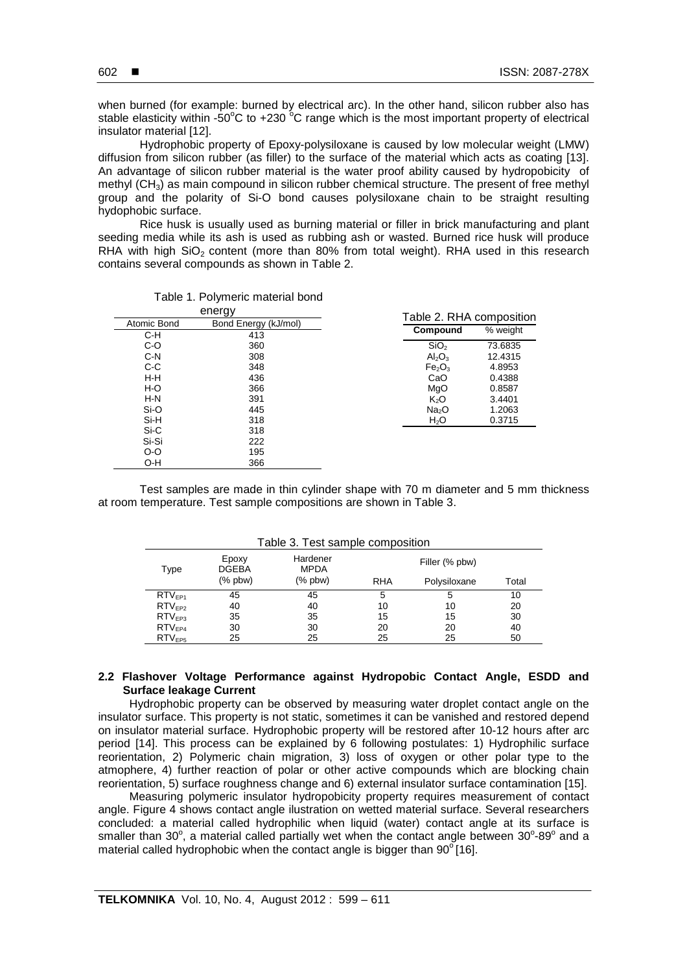when burned (for example: burned by electrical arc). In the other hand, silicon rubber also has stable elasticity within -50°C to +230  $^{\circ}$ C range which is the most important property of electrical insulator material [12].

Hydrophobic property of Epoxy-polysiloxane is caused by low molecular weight (LMW) diffusion from silicon rubber (as filler) to the surface of the material which acts as coating [13]. An advantage of silicon rubber material is the water proof ability caused by hydropobicity of methyl (CH<sub>3</sub>) as main compound in silicon rubber chemical structure. The present of free methyl group and the polarity of Si-O bond causes polysiloxane chain to be straight resulting hydophobic surface.

Rice husk is usually used as burning material or filler in brick manufacturing and plant seeding media while its ash is used as rubbing ash or wasted. Burned rice husk will produce RHA with high  $SiO<sub>2</sub>$  content (more than 80% from total weight). RHA used in this research contains several compounds as shown in Table 2.

|             | energy               | Table 2. RHA composition       |          |  |
|-------------|----------------------|--------------------------------|----------|--|
| Atomic Bond | Bond Energy (kJ/mol) |                                |          |  |
| C-H         | 413                  | Compound                       | % weight |  |
| $C-O$       | 360                  | SiO <sub>2</sub>               | 73.6835  |  |
| $C-N$       | 308                  | Al <sub>2</sub> O <sub>3</sub> | 12.4315  |  |
| C-C         | 348                  | Fe <sub>2</sub> O <sub>3</sub> | 4.8953   |  |
| H-H         | 436                  | CaO                            | 0.4388   |  |
| $H-O$       | 366                  | MgO                            | 0.8587   |  |
| $H-N$       | 391                  | K <sub>2</sub> O               | 3.4401   |  |
| Si-O        | 445                  | Na <sub>2</sub> O              | 1.2063   |  |
| Si-H        | 318                  | H <sub>2</sub> O               | 0.3715   |  |
| Si-C        | 318                  |                                |          |  |
| Si-Si       | 222                  |                                |          |  |
| $O-O$       | 195                  |                                |          |  |
| O-H         | 366                  |                                |          |  |

Test samples are made in thin cylinder shape with 70 m diameter and 5 mm thickness at room temperature. Test sample compositions are shown in Table 3.

| Table 3. Test sample composition |                       |                         |                |              |       |  |  |
|----------------------------------|-----------------------|-------------------------|----------------|--------------|-------|--|--|
| Type                             | Epoxy<br><b>DGEBA</b> | Hardener<br><b>MPDA</b> | Filler (% pbw) |              |       |  |  |
|                                  | $%$ pbw $)$           | $%$ pbw)                | <b>RHA</b>     | Polysiloxane | Total |  |  |
| $RTV_{FP1}$                      | 45                    | 45                      | 5              | 5            | 10    |  |  |
| $RTV_{FP2}$                      | 40                    | 40                      | 10             | 10           | 20    |  |  |
| RTV <sub>FP3</sub>               | 35                    | 35                      | 15             | 15           | 30    |  |  |
| $RTV_{FP4}$                      | 30                    | 30                      | 20             | 20           | 40    |  |  |
| RTV <sub>FP5</sub>               | 25                    | 25                      | 25             | 25           | 50    |  |  |

Table 3. Test sample composition

# **2.2 Flashover Voltage Performance against Hydropobic Contact Angle, ESDD and Surface leakage Current**

Hydrophobic property can be observed by measuring water droplet contact angle on the insulator surface. This property is not static, sometimes it can be vanished and restored depend on insulator material surface. Hydrophobic property will be restored after 10-12 hours after arc period [14]. This process can be explained by 6 following postulates: 1) Hydrophilic surface reorientation, 2) Polymeric chain migration, 3) loss of oxygen or other polar type to the atmophere, 4) further reaction of polar or other active compounds which are blocking chain reorientation, 5) surface roughness change and 6) external insulator surface contamination [15].

Measuring polymeric insulator hydropobicity property requires measurement of contact angle. Figure 4 shows contact angle ilustration on wetted material surface. Several researchers concluded: a material called hydrophilic when liquid (water) contact angle at its surface is smaller than 30°, a material called partially wet when the contact angle between 30°-89° and a material called hydrophobic when the contact angle is bigger than  $90^{\circ}$ [16].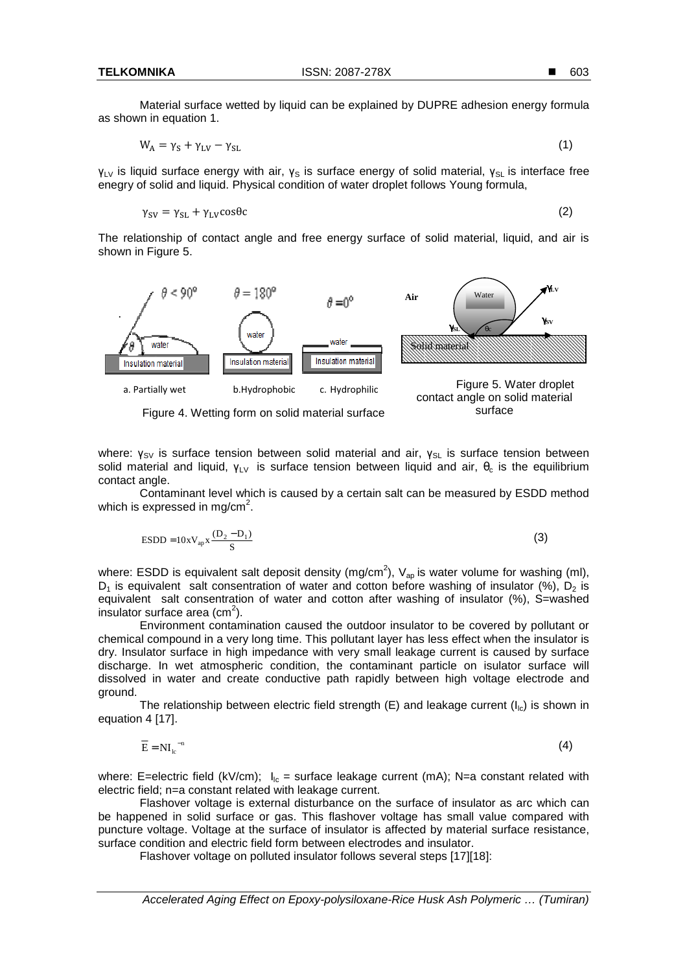Material surface wetted by liquid can be explained by DUPRE adhesion energy formula as shown in equation 1.

$$
W_A = \gamma_S + \gamma_{LV} - \gamma_{SL} \tag{1}
$$

 $y_{LV}$  is liquid surface energy with air,  $y_{S}$  is surface energy of solid material,  $y_{SL}$  is interface free enegry of solid and liquid. Physical condition of water droplet follows Young formula,

$$
\gamma_{SV} = \gamma_{SL} + \gamma_{LV} \cos \theta c \tag{2}
$$

The relationship of contact angle and free energy surface of solid material, liquid, and air is shown in Figure 5.



Figure 4. Wetting form on solid material surface

where: γ<sub>SV</sub> is surface tension between solid material and air, γ<sub>SL</sub> is surface tension between solid material and liquid,  $\gamma_{LV}$  is surface tension between liquid and air,  $\theta_c$  is the equilibrium contact angle.

 Contaminant level which is caused by a certain salt can be measured by ESDD method which is expressed in mg/cm<sup>2</sup>.

$$
\text{ESDD} = 10 \times \text{V}_{ap} \times \frac{(\text{D}_2 - \text{D}_1)}{\text{S}} \tag{3}
$$

where: ESDD is equivalent salt deposit density (mg/cm<sup>2</sup>),  $V_{ap}$  is water volume for washing (ml),  $D_1$  is equivalent salt consentration of water and cotton before washing of insulator (%),  $D_2$  is equivalent salt consentration of water and cotton after washing of insulator (%), S=washed insulator surface area (cm<sup>2</sup>).

Environment contamination caused the outdoor insulator to be covered by pollutant or chemical compound in a very long time. This pollutant layer has less effect when the insulator is dry. Insulator surface in high impedance with very small leakage current is caused by surface discharge. In wet atmospheric condition, the contaminant particle on isulator surface will dissolved in water and create conductive path rapidly between high voltage electrode and ground.

The relationship between electric field strength (E) and leakage current  $(I_{\text{lc}})$  is shown in equation 4 [17].

$$
\overline{\mathbf{E}} = \mathbf{N} \mathbf{I}_{\mathbf{k}^{-n}}
$$
 (4)

where: E=electric field (kV/cm);  $I_{\text{lc}}$  = surface leakage current (mA); N=a constant related with electric field; n=a constant related with leakage current.

 Flashover voltage is external disturbance on the surface of insulator as arc which can be happened in solid surface or gas. This flashover voltage has small value compared with puncture voltage. Voltage at the surface of insulator is affected by material surface resistance, surface condition and electric field form between electrodes and insulator.

Flashover voltage on polluted insulator follows several steps [17][18]: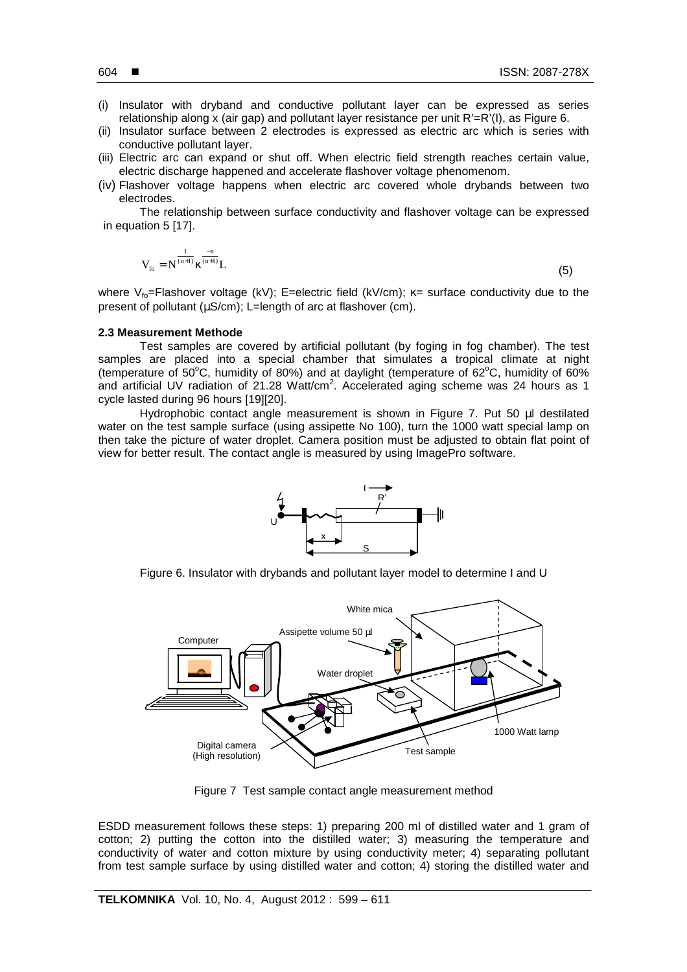- (i) Insulator with dryband and conductive pollutant layer can be expressed as series relationship along x (air gap) and pollutant layer resistance per unit R'=R'(I), as Figure 6.
- (ii) Insulator surface between 2 electrodes is expressed as electric arc which is series with conductive pollutant layer.
- (iii) Electric arc can expand or shut off. When electric field strength reaches certain value, electric discharge happened and accelerate flashover voltage phenomenom.
- (iv) Flashover voltage happens when electric arc covered whole drybands between two electrodes.

The relationship between surface conductivity and flashover voltage can be expressed in equation 5 [17].

$$
V_{_{fo}}=N^{\frac{1}{(n+1)}}\kappa^{\frac{-n}{(n+1)}}L
$$

 $(5)$ 

where V<sub>fo</sub>=Flashover voltage (kV); E=electric field (kV/cm);  $\kappa$ = surface conductivity due to the present of pollutant (µS/cm); L=length of arc at flashover (cm).

# **2.3 Measurement Methode**

Test samples are covered by artificial pollutant (by foging in fog chamber). The test samples are placed into a special chamber that simulates a tropical climate at night (temperature of 50 $\degree$ C, humidity of 80%) and at daylight (temperature of 62 $\degree$ C, humidity of 60% and artificial UV radiation of 21.28 Watt/cm<sup>2</sup>. Accelerated aging scheme was 24 hours as 1 cycle lasted during 96 hours [19][20].

Hydrophobic contact angle measurement is shown in Figure 7. Put 50 µl destilated water on the test sample surface (using assipette No 100), turn the 1000 watt special lamp on then take the picture of water droplet. Camera position must be adjusted to obtain flat point of view for better result. The contact angle is measured by using ImagePro software.



Figure 6. Insulator with drybands and pollutant layer model to determine I and U



Figure 7 Test sample contact angle measurement method

ESDD measurement follows these steps: 1) preparing 200 ml of distilled water and 1 gram of cotton; 2) putting the cotton into the distilled water; 3) measuring the temperature and conductivity of water and cotton mixture by using conductivity meter; 4) separating pollutant from test sample surface by using distilled water and cotton; 4) storing the distilled water and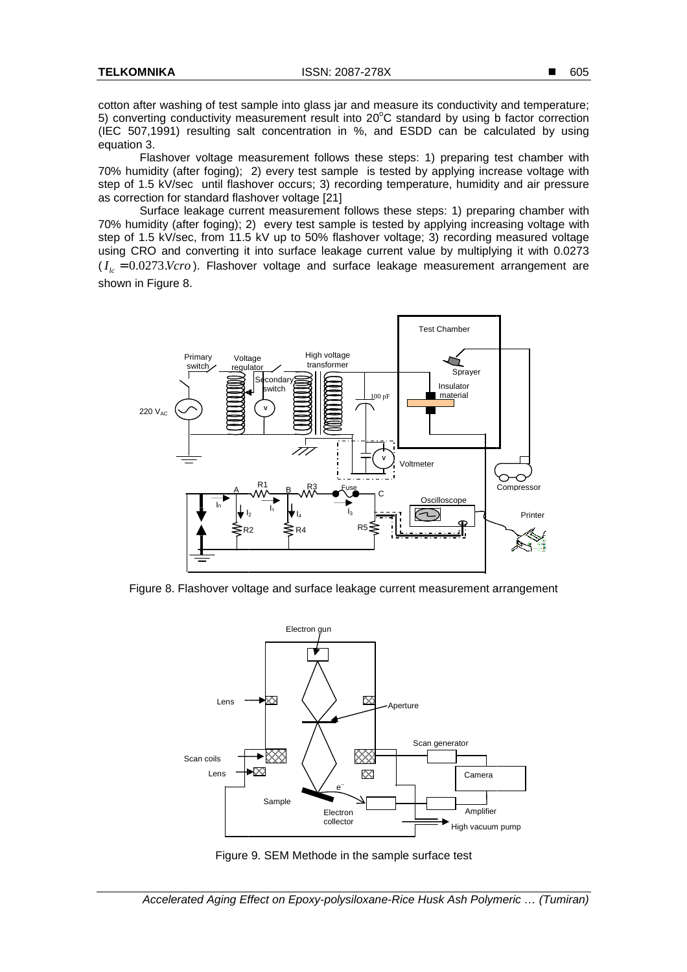cotton after washing of test sample into glass jar and measure its conductivity and temperature; 5) converting conductivity measurement result into 20°C standard by using b factor correction (IEC 507,1991) resulting salt concentration in %, and ESDD can be calculated by using equation 3.

Flashover voltage measurement follows these steps: 1) preparing test chamber with 70% humidity (after foging); 2) every test sample is tested by applying increase voltage with step of 1.5 kV/sec until flashover occurs; 3) recording temperature, humidity and air pressure as correction for standard flashover voltage [21]

Surface leakage current measurement follows these steps: 1) preparing chamber with 70% humidity (after foging); 2) every test sample is tested by applying increasing voltage with step of 1.5 kV/sec, from 11.5 kV up to 50% flashover voltage; 3) recording measured voltage using CRO and converting it into surface leakage current value by multiplying it with 0.0273 using CRO and converting it into surface leakage current value by multiplying it with 0.0273<br>(*I<sub>lc</sub>* = 0.0273.*Vcro*). Flashover voltage and surface leakage measurement arrangement are shown in Figure 8.



Figure 8. Flashover voltage and surface leakage current measurement arrangement



Figure 9. SEM Methode in the sample surface test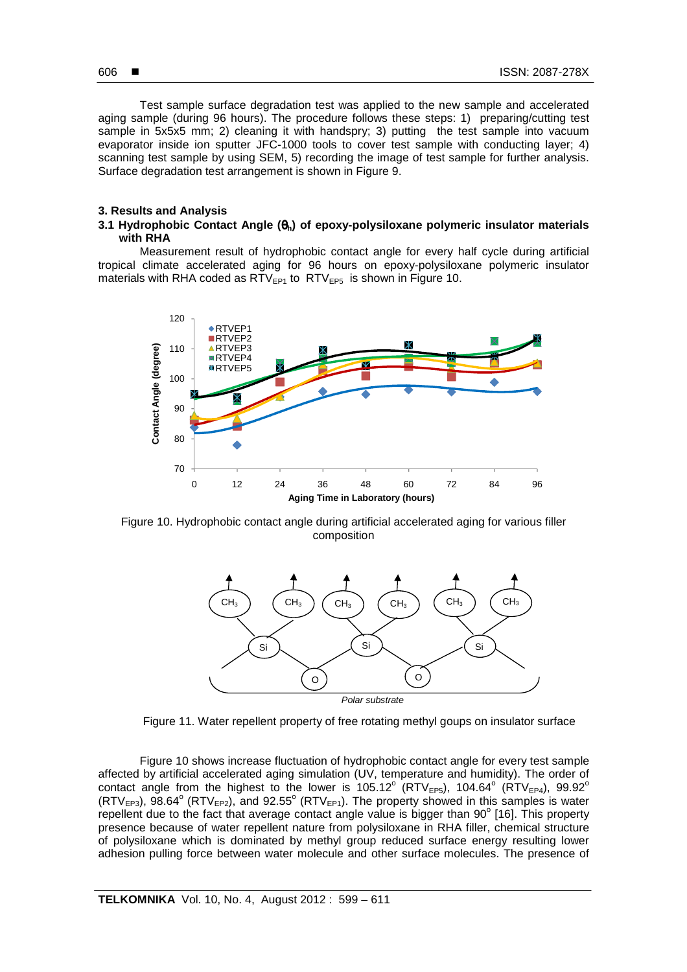Test sample surface degradation test was applied to the new sample and accelerated aging sample (during 96 hours). The procedure follows these steps: 1) preparing/cutting test sample in 5x5x5 mm; 2) cleaning it with handspry; 3) putting the test sample into vacuum evaporator inside ion sputter JFC-1000 tools to cover test sample with conducting layer; 4) scanning test sample by using SEM, 5) recording the image of test sample for further analysis. Surface degradation test arrangement is shown in Figure 9.

# **3. Results and Analysis**

# **3.1 Hydrophobic Contact Angle (**θ**h) of epoxy-polysiloxane polymeric insulator materials with RHA**

Measurement result of hydrophobic contact angle for every half cycle during artificial tropical climate accelerated aging for 96 hours on epoxy-polysiloxane polymeric insulator materials with RHA coded as  $RTV_{FP1}$  to  $RTV_{FP5}$  is shown in Figure 10.



Figure 10. Hydrophobic contact angle during artificial accelerated aging for various filler composition



Figure 11. Water repellent property of free rotating methyl goups on insulator surface

Figure 10 shows increase fluctuation of hydrophobic contact angle for every test sample affected by artificial accelerated aging simulation (UV, temperature and humidity). The order of contact angle from the highest to the lower is 105.12 $^{\circ}$  (RTV<sub>EP5</sub>), 104.64 $^{\circ}$  (RTV<sub>EP4</sub>), 99.92 $^{\circ}$  $(RTV_{EP3})$ , 98.64° (RTV<sub>EP2</sub>), and 92.55° (RTV<sub>EP1</sub>). The property showed in this samples is water repellent due to the fact that average contact angle value is bigger than  $90^\circ$  [16]. This property presence because of water repellent nature from polysiloxane in RHA filler, chemical structure of polysiloxane which is dominated by methyl group reduced surface energy resulting lower adhesion pulling force between water molecule and other surface molecules. The presence of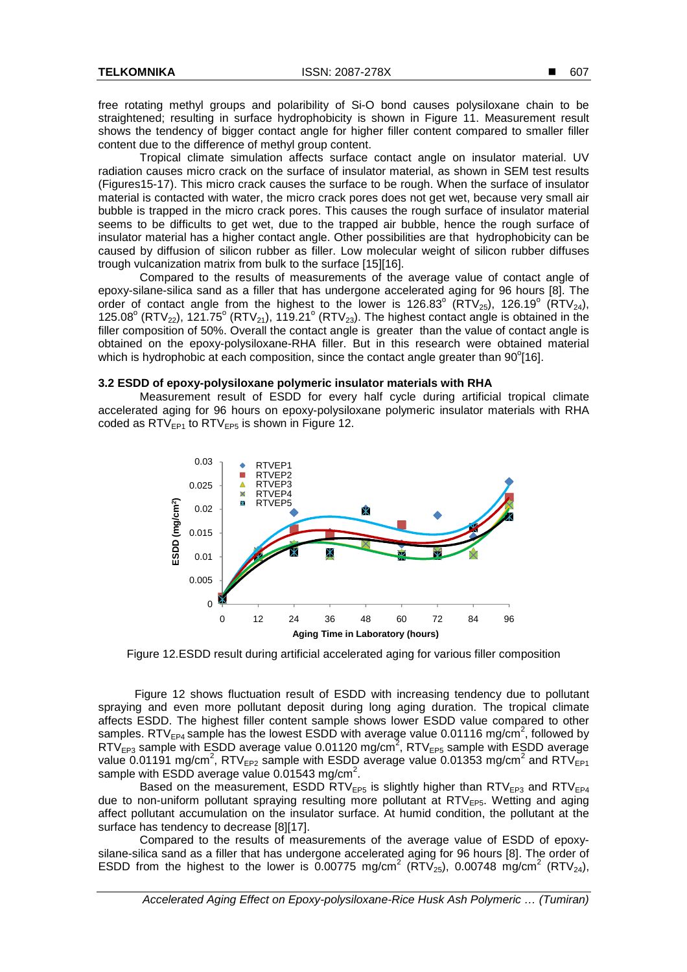free rotating methyl groups and polaribility of Si-O bond causes polysiloxane chain to be straightened; resulting in surface hydrophobicity is shown in Figure 11. Measurement result shows the tendency of bigger contact angle for higher filler content compared to smaller filler content due to the difference of methyl group content.

Tropical climate simulation affects surface contact angle on insulator material. UV radiation causes micro crack on the surface of insulator material, as shown in SEM test results (Figures15-17). This micro crack causes the surface to be rough. When the surface of insulator material is contacted with water, the micro crack pores does not get wet, because very small air bubble is trapped in the micro crack pores. This causes the rough surface of insulator material seems to be difficults to get wet, due to the trapped air bubble, hence the rough surface of insulator material has a higher contact angle. Other possibilities are that hydrophobicity can be caused by diffusion of silicon rubber as filler. Low molecular weight of silicon rubber diffuses trough vulcanization matrix from bulk to the surface [15][16].

Compared to the results of measurements of the average value of contact angle of epoxy-silane-silica sand as a filler that has undergone accelerated aging for 96 hours [8]. The order of contact angle from the highest to the lower is 126.83° ( $\overline{RTV}_{25}$ ), 126.19° ( $\overline{RTV}_{24}$ ), 125.08° (RTV<sub>22</sub>), 121.75° (RTV<sub>21</sub>), 119.21° (RTV<sub>23</sub>). The highest contact angle is obtained in the filler composition of 50%. Overall the contact angle is greater than the value of contact angle is obtained on the epoxy-polysiloxane-RHA filler. But in this research were obtained material which is hydrophobic at each composition, since the contact angle greater than  $90^{\circ}$ [16].

#### **3.2 ESDD of epoxy-polysiloxane polymeric insulator materials with RHA**

Measurement result of ESDD for every half cycle during artificial tropical climate accelerated aging for 96 hours on epoxy-polysiloxane polymeric insulator materials with RHA coded as  $RTV_{FPI}$  to  $RTV_{FPI}$  is shown in Figure 12.



Figure 12.ESDD result during artificial accelerated aging for various filler composition

Figure 12 shows fluctuation result of ESDD with increasing tendency due to pollutant spraying and even more pollutant deposit during long aging duration. The tropical climate affects ESDD. The highest filler content sample shows lower ESDD value compared to other samples. RTV<sub>EP4</sub> sample has the lowest ESDD with average value 0.01116 mg/cm<sup>2</sup>, followed by  $RTV_{EP3}$  sample with ESDD average value 0.01120 mg/cm<sup>2</sup>, RTV<sub>EP5</sub> sample with ESDD average value 0.01191 mg/cm<sup>2</sup>, RTV<sub>EP2</sub> sample with ESDD average value 0.01353 mg/cm<sup>2</sup> and RTV<sub>EP1</sub> sample with  $ESDD$  average value 0.01543 mg/cm<sup>2</sup>.

Based on the measurement, ESDD RTV<sub>EP5</sub> is slightly higher than RTV<sub>EP3</sub> and RTV<sub>EP4</sub> due to non-uniform pollutant spraying resulting more pollutant at  $RTV_{FB5}$ . Wetting and aging affect pollutant accumulation on the insulator surface. At humid condition, the pollutant at the surface has tendency to decrease [8][17].

Compared to the results of measurements of the average value of ESDD of epoxysilane-silica sand as a filler that has undergone accelerated aging for 96 hours [8]. The order of ESDD from the highest to the lower is 0.00775 mg/cm<sup>2</sup> (RTV<sub>25</sub>), 0.00748 mg/cm<sup>2</sup> (RTV<sub>24</sub>),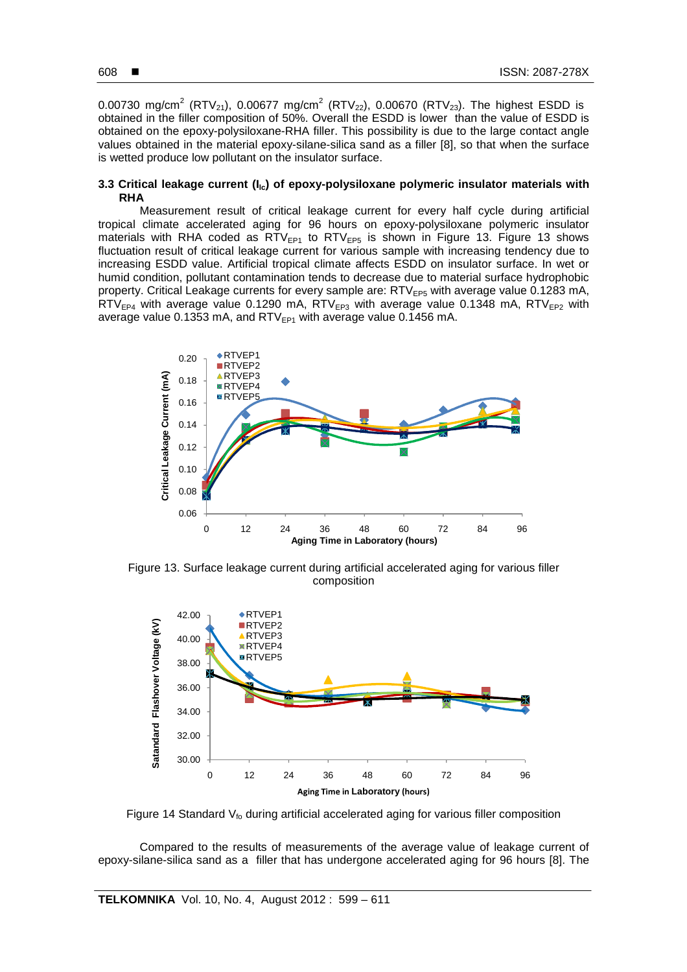0.00730 mg/cm<sup>2</sup> (RTV<sub>21</sub>), 0.00677 mg/cm<sup>2</sup> (RTV<sub>22</sub>), 0.00670 (RTV<sub>23</sub>). The highest ESDD is obtained in the filler composition of 50%. Overall the ESDD is lower than the value of ESDD is obtained on the epoxy-polysiloxane-RHA filler. This possibility is due to the large contact angle values obtained in the material epoxy-silane-silica sand as a filler [8], so that when the surface is wetted produce low pollutant on the insulator surface.

# **3.3 Critical leakage current (Ilc) of epoxy-polysiloxane polymeric insulator materials with RHA**

Measurement result of critical leakage current for every half cycle during artificial tropical climate accelerated aging for 96 hours on epoxy-polysiloxane polymeric insulator materials with RHA coded as  $RTV_{EP1}$  to  $RTV_{EP5}$  is shown in Figure 13. Figure 13 shows fluctuation result of critical leakage current for various sample with increasing tendency due to increasing ESDD value. Artificial tropical climate affects ESDD on insulator surface. In wet or humid condition, pollutant contamination tends to decrease due to material surface hydrophobic property. Critical Leakage currents for every sample are: RTV<sub>EP5</sub> with average value 0.1283 mA,  $RTV_{FP4}$  with average value 0.1290 mA,  $RTV_{EP3}$  with average value 0.1348 mA,  $RTV_{EP2}$  with average value 0.1353 mA, and  $RTV_{EPI}$  with average value 0.1456 mA.



Figure 13. Surface leakage current during artificial accelerated aging for various filler composition



Figure 14 Standard  $V_{\text{fo}}$  during artificial accelerated aging for various filler composition

Compared to the results of measurements of the average value of leakage current of epoxy-silane-silica sand as a filler that has undergone accelerated aging for 96 hours [8]. The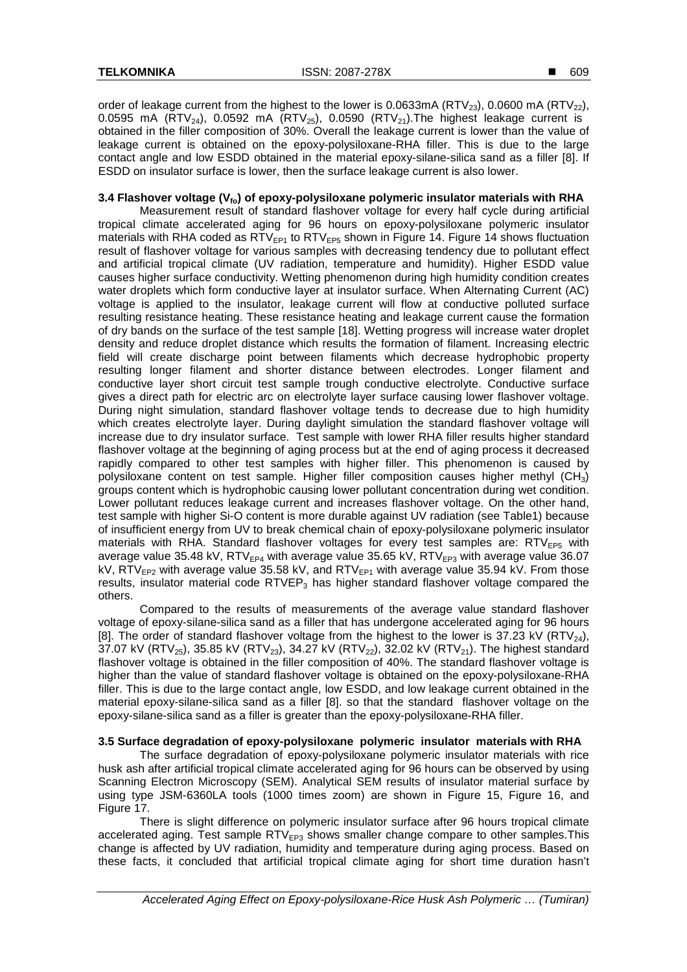order of leakage current from the highest to the lower is 0.0633mA ( $\text{RTV}_{23}$ ), 0.0600 mA ( $\text{RTV}_{22}$ ), 0.0595 mA (RTV<sub>24</sub>), 0.0592 mA (RTV<sub>25</sub>), 0.0590 (RTV<sub>21</sub>). The highest leakage current is obtained in the filler composition of 30%. Overall the leakage current is lower than the value of leakage current is obtained on the epoxy-polysiloxane-RHA filler. This is due to the large contact angle and low ESDD obtained in the material epoxy-silane-silica sand as a filler [8]. If ESDD on insulator surface is lower, then the surface leakage current is also lower.

# **3.4 Flashover voltage (Vfo) of epoxy-polysiloxane polymeric insulator materials with RHA**

Measurement result of standard flashover voltage for every half cycle during artificial tropical climate accelerated aging for 96 hours on epoxy-polysiloxane polymeric insulator materials with RHA coded as  $RTV_{EP1}$  to  $RTV_{EP5}$  shown in Figure 14. Figure 14 shows fluctuation result of flashover voltage for various samples with decreasing tendency due to pollutant effect and artificial tropical climate (UV radiation, temperature and humidity). Higher ESDD value causes higher surface conductivity. Wetting phenomenon during high humidity condition creates water droplets which form conductive layer at insulator surface. When Alternating Current (AC) voltage is applied to the insulator, leakage current will flow at conductive polluted surface resulting resistance heating. These resistance heating and leakage current cause the formation of dry bands on the surface of the test sample [18]. Wetting progress will increase water droplet density and reduce droplet distance which results the formation of filament. Increasing electric field will create discharge point between filaments which decrease hydrophobic property resulting longer filament and shorter distance between electrodes. Longer filament and conductive layer short circuit test sample trough conductive electrolyte. Conductive surface gives a direct path for electric arc on electrolyte layer surface causing lower flashover voltage. During night simulation, standard flashover voltage tends to decrease due to high humidity which creates electrolyte layer. During daylight simulation the standard flashover voltage will increase due to dry insulator surface. Test sample with lower RHA filler results higher standard flashover voltage at the beginning of aging process but at the end of aging process it decreased rapidly compared to other test samples with higher filler. This phenomenon is caused by polysiloxane content on test sample. Higher filler composition causes higher methyl  $(CH_3)$ groups content which is hydrophobic causing lower pollutant concentration during wet condition. Lower pollutant reduces leakage current and increases flashover voltage. On the other hand, test sample with higher Si-O content is more durable against UV radiation (see Table1) because of insufficient energy from UV to break chemical chain of epoxy-polysiloxane polymeric insulator materials with RHA. Standard flashover voltages for every test samples are:  $RTV_{EP5}$  with average value 35.48 kV, RTV $_{EPA}$  with average value 35.65 kV, RTV $_{EP3}$  with average value 36.07 kV,  $RTV_{EP2}$  with average value 35.58 kV, and  $RTV_{EP1}$  with average value 35.94 kV. From those results, insulator material code  $RTVEP<sub>3</sub>$  has higher standard flashover voltage compared the others.

Compared to the results of measurements of the average value standard flashover voltage of epoxy-silane-silica sand as a filler that has undergone accelerated aging for 96 hours [8]. The order of standard flashover voltage from the highest to the lower is  $37.23$  kV (RTV<sub>24</sub>), 37.07 kV (RTV<sub>25</sub>), 35.85 kV (RTV<sub>23</sub>), 34.27 kV (RTV<sub>22</sub>), 32.02 kV (RTV<sub>21</sub>). The highest standard flashover voltage is obtained in the filler composition of 40%. The standard flashover voltage is higher than the value of standard flashover voltage is obtained on the epoxy-polysiloxane-RHA filler. This is due to the large contact angle, low ESDD, and low leakage current obtained in the material epoxy-silane-silica sand as a filler [8]. so that the standard flashover voltage on the epoxy-silane-silica sand as a filler is greater than the epoxy-polysiloxane-RHA filler.

# **3.5 Surface degradation of epoxy-polysiloxane polymeric insulator materials with RHA**

The surface degradation of epoxy-polysiloxane polymeric insulator materials with rice husk ash after artificial tropical climate accelerated aging for 96 hours can be observed by using Scanning Electron Microscopy (SEM). Analytical SEM results of insulator material surface by using type JSM-6360LA tools (1000 times zoom) are shown in Figure 15, Figure 16, and Figure 17.

There is slight difference on polymeric insulator surface after 96 hours tropical climate accelerated aging. Test sample  $RTV_{FB3}$  shows smaller change compare to other samples. This change is affected by UV radiation, humidity and temperature during aging process. Based on these facts, it concluded that artificial tropical climate aging for short time duration hasn't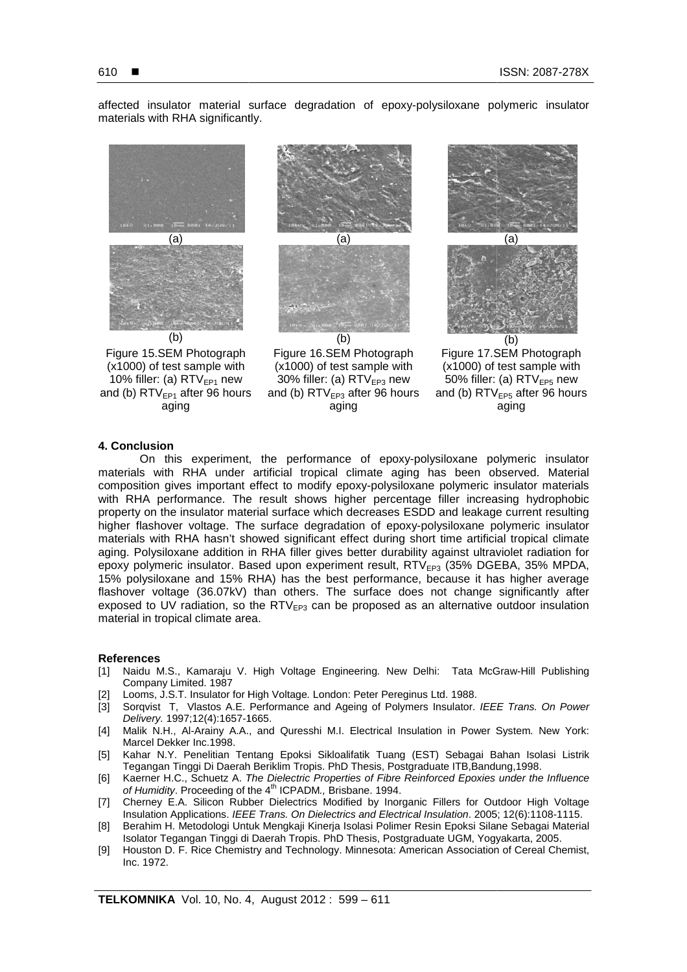affected insulator material surface degradation of epoxy-polysiloxane polymeric insulator materials with RHA significantly.



# **4. Conclusion**

On this experiment, the performance of epoxy-polysiloxane polymeric insulator materials with RHA under artificial tropical climate aging has been observed. Material On this experiment, the performance of epoxy-polysiloxane polymeric insulator<br>materials with RHA under artificial tropical climate aging has been observed. Material<br>composition gives important effect to modify epoxy-polysi with RHA performance. The result shows higher percentage filler increasing hydrophobic property on the insulator material surface which decreases ESDD and leakage current resulting higher flashover voltage. The surface degradation of epoxy-polysiloxane polymeric insulator materials with RHA hasn't showed significant effect during short time artificial tropical climate aging. Polysiloxane addition in RHA filler gives better durability against ultraviolet radiation for epoxy polymeric insulator. Based upon experiment result, RTV<sub>EP3</sub> (35% DGEBA, 35% MPDA, 15% polysiloxane and 15% RHA) has the best performance, because it has higher average flashover voltage (36.07kV) than others. The surface does not change significantly after exposed to UV radiation, so the  $RTV_{EP3}$  can be proposed as an alternative outdoor insulation material in tropical climate area.

## **References**

- [1] Naidu M.S., Kamaraju V. High Voltage Engineering. New Delhi: Tata McGraw McGraw-Hill Publishing Company Limited. 1987
- [2] Looms, J.S.T. Insulator for High Voltage . London: Peter Pereginus Ltd. 1988.
- [3] Sorqvist T, Vlastos A.E. Performance and Ageing of Polymers Insulator. IEEE Trans. On Power Delivery. 1997;12(4):1657-1665. 1665.
- [4] Malik N.H., Al-Arainy A.A., and Quresshi M.I. Electrical Insulation in Power System. New York: Marcel Dekker Inc.1998.
- [5] Kahar N.Y. Penelitian Tentang Epoksi Sikloalifatik Tuang (EST) Sebagai Bahan Isolasi Listrik Tegangan Tinggi Di Daerah Beriklim Tropis. PhD Thesis, Postgraduate ITB,Bandung,1998.
- [6] Kaerner H.C., Schuetz A. The Dielectric Properties of Fibre Reinforced Epoxies under the Influence of Humidity. Proceeding of the 4<sup>th</sup> ICPADM., Brisbane. 1994.
- [7] Cherney E.A. Silicon Rubber Dielectrics Modified by Inorganic Fillers for Outdoor High Voltage Insulation Applications. IEEE Trans. On Dielectrics and Electrical Insulation. 2005; 12(6):1108-1115.
- [8] Berahim H. Metodologi Untuk Mengkaji Kinerja Isolasi Polimer Resin Epoksi Silane Sebagai Material Isolator Tegangan Tinggi di Daerah Tropis. PhD Thesis, Postgraduate UGM, Yogyakarta, 2005.
- [9] Houston D. F. Rice Chemistry and Technology. Minnesota: American Association of Cereal Chemist, Inc. 1972.